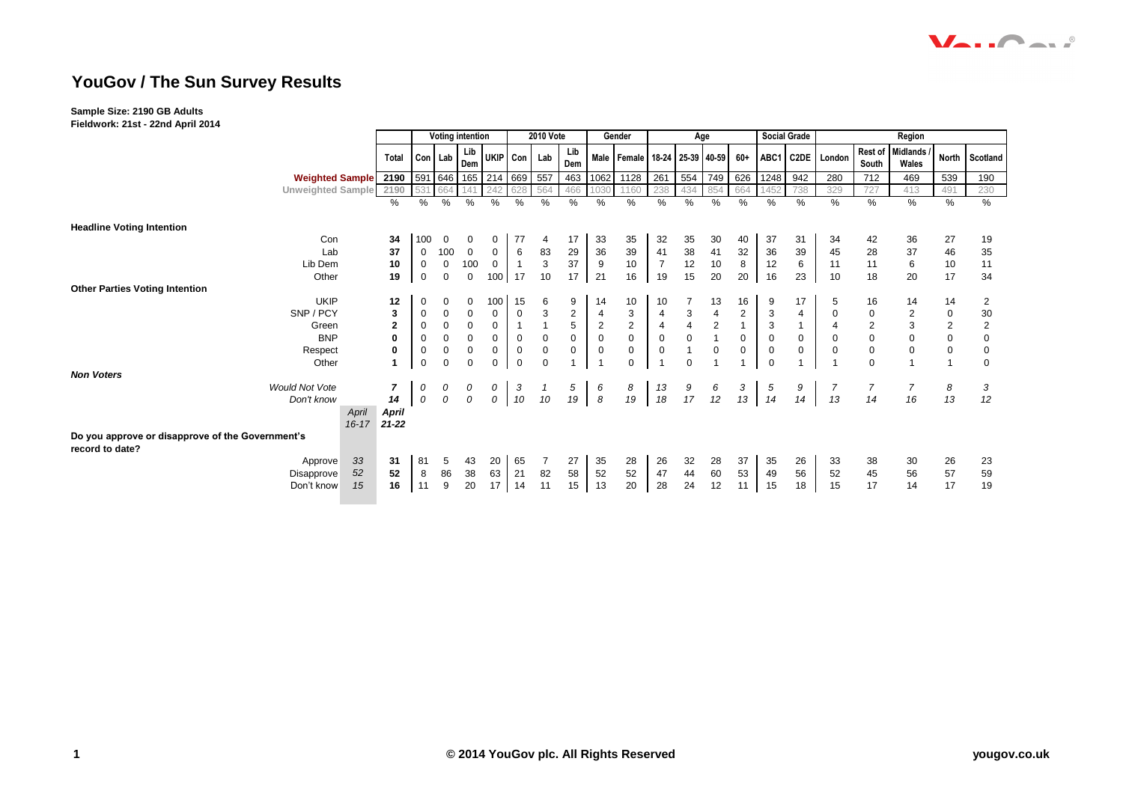## **YouGov / The Sun Survey Results**

## **Sample Size: 2190 GB Adults**

**Fieldwork: 21st - 22nd April 2014**

|                                                                     |           |                | <b>Voting intention</b> |               |                            |                         | <b>2010 Vote</b>  |             |                     |                       | Gender                                      | Age                     |                                        |                                        |                      |                  | <b>Social Grade</b> | Region           |                                       |                      |                   |                |
|---------------------------------------------------------------------|-----------|----------------|-------------------------|---------------|----------------------------|-------------------------|-------------------|-------------|---------------------|-----------------------|---------------------------------------------|-------------------------|----------------------------------------|----------------------------------------|----------------------|------------------|---------------------|------------------|---------------------------------------|----------------------|-------------------|----------------|
|                                                                     |           | Total          | Con Lab                 |               | Lib<br>Dem                 | UKIP Con Lab            |                   |             | Lib<br>Dem          |                       | Male   Female   18-24   25-39   40-59   60+ |                         |                                        |                                        |                      |                  |                     | ABC1 C2DE London | Rest of<br>South                      | Midlands /<br>Wales  |                   | North Scotland |
| Weighted Sample 2190                                                |           |                |                         |               |                            | 591 646 165 214 669 557 |                   |             | 463                 | 1062                  | 1128                                        | 261                     | 554                                    | 749                                    | 626                  | 1248             | 942                 | 280              | 712                                   | 469                  | 539               | 190            |
| Unweighted Sample 2190                                              |           |                | 531                     | 664           | 14'                        | 242                     | 628               | 564         | 466                 | 1030                  | 1160                                        | 238                     | 434                                    | 854                                    | 664                  | 1452             | 738                 | 329              | 727                                   | 413                  | 491               | 230            |
|                                                                     |           | $\%$           | $\frac{0}{0}$           | %             | $\%$                       | $\%$                    | %                 | %           | $\%$                | $\frac{1}{2}$         | $\frac{0}{0}$                               | $\frac{9}{6}$           | %                                      | %                                      | $\frac{0}{0}$        | $\frac{9}{6}$    | %                   | %                | %                                     | $\frac{0}{0}$        | %                 | %              |
| <b>Headline Voting Intention</b>                                    |           |                |                         |               |                            |                         |                   |             |                     |                       |                                             |                         |                                        |                                        |                      |                  |                     |                  |                                       |                      |                   |                |
| Con                                                                 |           | 34             | 100                     | $\mathbf 0$   | 0                          | 0                       | 77                | 4           | 17                  | 33                    | 35                                          | 32                      | 35                                     | 30                                     | 40                   | 37               | 31                  | 34               | 42                                    | 36                   | 27                | 19             |
| Lab                                                                 |           | 37             | 0                       | 100           | $\mathbf 0$                | 0                       | 6                 | 83          | 29                  | 36                    | $39\,$                                      | $\frac{41}{7}$          | 38<br>12                               | 41                                     | 32                   | 36               | $39\,$              | 45               | 28                                    | 37                   | 46                | 35             |
| Lib Dem                                                             |           | 10             | $\mathbf 0$             | $\mathbf 0$   | 100                        | $\overline{0}$          |                   | 3           | 37                  | $\boldsymbol{9}$      | $10\,$                                      |                         |                                        | $10$                                   | $\bf 8$              | 12               | 6                   | 11               | 11                                    | 6                    | $10$              | 11             |
| Other                                                               |           | 19             | $\mathbf 0$             | $\mathbf 0$   | $\mathbf 0$                | 100 <sup>1</sup>        | 17                | 10          | 17                  | 21                    | 16                                          | 19                      | 15                                     | 20                                     | 20                   | 16               | 23                  | 10               | 18                                    | 20                   | 17                | 34             |
| <b>Other Parties Voting Intention</b><br><b>UKIP</b>                |           |                |                         |               |                            |                         |                   |             |                     |                       |                                             |                         |                                        |                                        |                      |                  |                     |                  |                                       |                      |                   |                |
| SNP / PCY                                                           |           | 12<br>3        | 0<br>0                  | 0<br>0        | $\mathbf 0$<br>$\mathbf 0$ | 100<br>$\mathbf 0$      | 15<br>$\mathbf 0$ | 6<br>3      | 9<br>$\overline{2}$ | 14<br>4               | 10<br>$\mathsf 3$                           | 10<br>$\overline{4}$    | $\ensuremath{\mathsf{3}}$              | 13<br>$\overline{4}$                   | 16<br>$\overline{2}$ | 9<br>$\mathsf 3$ | 17<br>4             | 5<br>$\mathbf 0$ | 16<br>0                               | 14<br>$\overline{2}$ | 14<br>$\mathbf 0$ | 2<br>30        |
| Green                                                               |           | $\overline{2}$ | 0                       | 0             | $\mathbf 0$                | $\mathbf 0$             |                   |             | $\,$ 5 $\,$         | $\overline{a}$        | $\mathbf 2$                                 | $\overline{\mathbf{4}}$ | $\overline{\mathbf{4}}$                | $\sqrt{2}$                             |                      | 3                |                     | 4                |                                       | 3                    | $\overline{2}$    | $\mathbf 2$    |
| <b>BNP</b>                                                          |           | $\mathbf{0}$   | $\mathbf 0$             | 0             | $\mathbf 0$                | $\mathbf 0$             | $\mathbf 0$       | $\mathbf 0$ | $\mathbf 0$         | $\mathbf 0$           | $\pmb{0}$                                   | $\pmb{0}$               | $\mathbf 0$                            | $\mathbf 1$                            | $\mathbf 0$          | $\mathbf 0$      | $\mathbf 0$         | $\mathbf 0$      | $\begin{array}{c} 2 \\ 0 \end{array}$ | $\mathbf 0$          | $\pmb{0}$         | $\mathbf 0$    |
| Respect                                                             |           | 0              | $\mathbf 0$             | $\mathbf 0$   | $\mathbf 0$                | $\mathbf 0$             | $\mathbf 0$       | 0           | $\mathbf 0$         | $\mathbf 0$           | $\mathsf{O}\xspace$                         | $\mathsf{O}\xspace$     | $\mathbf{1}$                           | $\pmb{0}$                              | $\mathbf 0$          | $\mathbf 0$      | $\mathbf{0}$        | $\mathbf 0$      | $\pmb{0}$                             | $\mathbf 0$          | $\mathsf 0$       | $\mathbf 0$    |
| Other                                                               |           |                | $\mathbf 0$             | $\Omega$      | $\Omega$                   | $\Omega$                | $\Omega$          | $\Omega$    |                     | $\overline{1}$        | $\Omega$                                    |                         | $\Omega$                               | $\overline{1}$                         |                      | $\Omega$         |                     |                  | $\Omega$                              |                      | $\overline{1}$    | $\mathbf 0$    |
| <b>Non Voters</b>                                                   |           |                |                         |               |                            |                         |                   |             |                     |                       |                                             |                         |                                        |                                        |                      |                  |                     |                  |                                       |                      |                   |                |
| <b>Would Not Vote</b>                                               |           | 7              | 0                       | 0             | 0                          | $\overline{0}$          | 3                 |             | 5<br>19             | 6                     | 8                                           |                         |                                        |                                        | 3                    | 5                | 9                   |                  | 7                                     | 7                    | 8                 | 3              |
| Don't know                                                          |           | 14             | $\cal O$                | $\mathcal{O}$ | $\overline{O}$             | $\overline{0}$          | 10                | 10          |                     | $\boldsymbol{\delta}$ | 19                                          | 13<br>18                | $\begin{array}{c} 9 \\ 17 \end{array}$ | $\begin{array}{c} 6 \\ 12 \end{array}$ | 13                   | 14               | 14                  | 13               | 14                                    | 16                   | 13                | 12             |
|                                                                     | April     | <b>April</b>   |                         |               |                            |                         |                   |             |                     |                       |                                             |                         |                                        |                                        |                      |                  |                     |                  |                                       |                      |                   |                |
|                                                                     | $16 - 17$ | $21 - 22$      |                         |               |                            |                         |                   |             |                     |                       |                                             |                         |                                        |                                        |                      |                  |                     |                  |                                       |                      |                   |                |
| Do you approve or disapprove of the Government's<br>record to date? |           |                |                         |               |                            |                         |                   |             |                     |                       |                                             |                         |                                        |                                        |                      |                  |                     |                  |                                       |                      |                   |                |
| Approve                                                             | 33        | 31             | 81                      | 5             | 43                         | 20                      | 65                |             | 27                  | 35                    | 28                                          |                         | 32                                     | 28                                     | 37                   | 35               | 26                  | 33               | 38                                    | 30                   | 26                | 23             |
| Disapprove                                                          | 52        | 52             | $\bf8$                  | 86            | 38                         | 63                      | 21                | 82          | 58                  | 52                    | 52                                          | 26<br>47<br>28          | 44                                     | $60\,$                                 | 53                   | 49               | 56                  | 52               | 45                                    | 56                   | 57                | 59             |
| Don't know                                                          | 15        | 16             | 11                      | 9             | 20                         | 17                      | 14                | 11          | 15                  | 13                    | 20                                          |                         | 24                                     | 12                                     | 11                   | 15               | 18                  | 15               | 17                                    | 14                   | 17                | 19             |